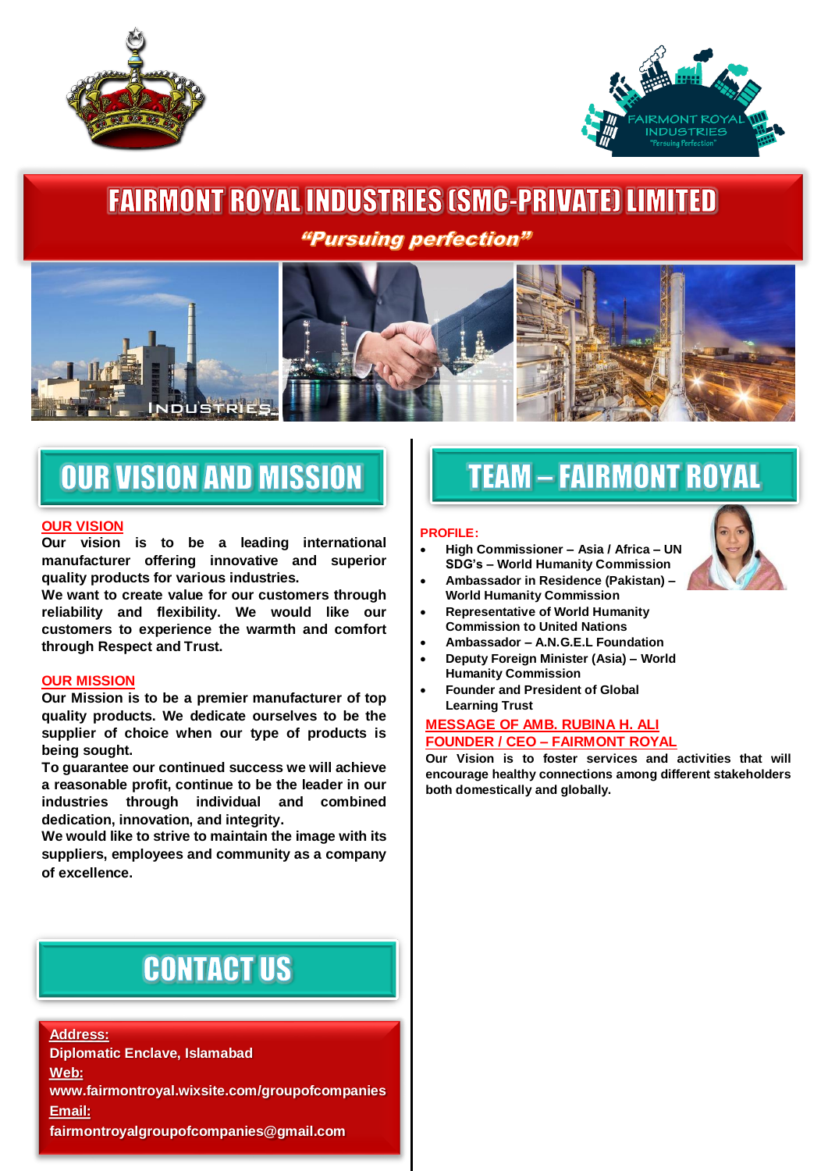



## **FAIRMONT ROYAL INDUSTRIES (SMC-PRIVATE) LIMITED** *"Pursuing perfection"*



# **OUR VISION AND MISSION**

#### **OUR VISION**

 $\overline{a}$ 

**Our vision is to be a leading international manufacturer offering innovative and superior quality products for various industries.** 

**We want to create value for our customers through reliability and flexibility. We would like our customers to experience the warmth and comfort through Respect and Trust.**

#### **OUR MISSION**

**Our Mission is to be a premier manufacturer of top quality products. We dedicate ourselves to be the supplier of choice when our type of products is being sought.** 

**To guarantee our continued success we will achieve a reasonable profit, continue to be the leader in our industries through individual and combined dedication, innovation, and integrity.** 

**We would like to strive to maintain the image with its suppliers, employees and community as a company of excellence.**

## **CONTACT US**

**Address: Diplomatic Enclave, Islamabad Web: www.fairmontroyal.wixsite.com/groupofcompanies Email: fairmontroyalgroupofcompanies@gmail.com**

## **TEAM - FAIRMONT ROYAL**

#### **PROFILE:**

- **High Commissioner – Asia / Africa – UN SDG's – World Humanity Commission**
- **Ambassador in Residence (Pakistan) – World Humanity Commission**
- **Representative of World Humanity Commission to United Nations**
- **Ambassador – A.N.G.E.L Foundation**
- **Deputy Foreign Minister (Asia) – World Humanity Commission**
- **Founder and President of Global Learning Trust**

#### **MESSAGE OF AMB. RUBINA H. ALI FOUNDER / CEO – FAIRMONT ROYAL**

**Our Vision is to foster services and activities that will encourage healthy connections among different stakeholders both domestically and globally.**